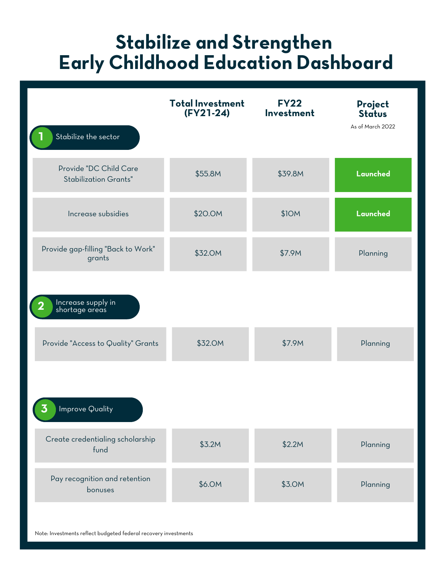### **Stabilize and Strengthen Early Childhood Education Dashboard**

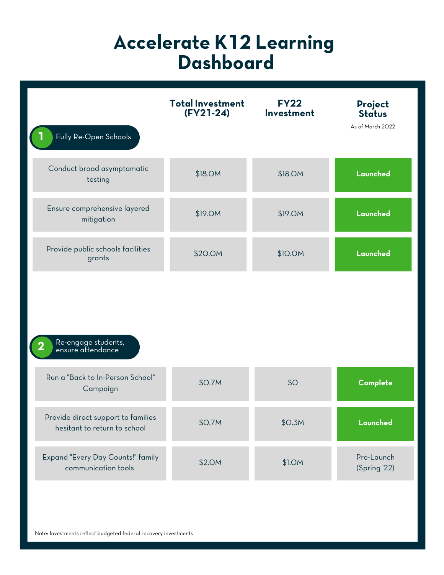| Fully Re-Open Schools                                              | <b>Total Investment</b><br>$(FY21-24)$ | <b>FY22</b><br>Investment | Project<br><b>Status</b><br>As of March 2022 |
|--------------------------------------------------------------------|----------------------------------------|---------------------------|----------------------------------------------|
|                                                                    |                                        |                           |                                              |
| Conduct broad asymptomatic<br>testing                              | \$18.0M                                | \$18.0M                   | Launched                                     |
| Ensure comprehensive layered<br>mitigation                         | \$19.0M                                | \$19.0M                   | Launched                                     |
| Provide public schools facilities<br>grants                        | \$20.0M                                | \$10.0M                   | Launched                                     |
| Re-engage students,<br>ensure attendance                           |                                        |                           |                                              |
| Run a "Back to In-Person School"<br>Campaign                       | \$0.7M                                 | \$O                       | Complete                                     |
| Provide direct support to families<br>hesitant to return to school | \$0.7M                                 | \$O.3M                    | Launched                                     |
| Expand "Every Day Counts!" family<br>communication tools           | \$2.0M                                 | \$1.0M                    | Pre-Launch<br>(Spring '22)                   |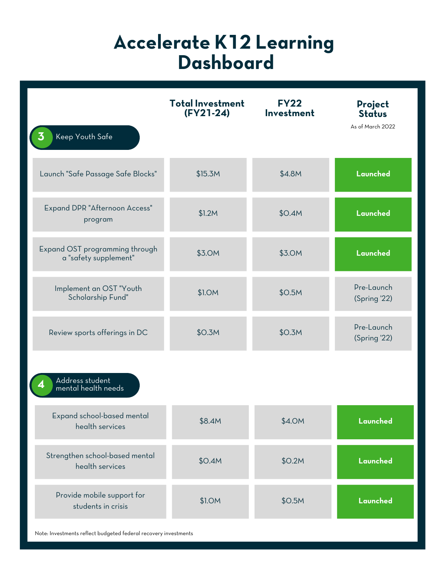| Keep Youth Safe                                         | <b>Total Investment</b><br>$(FY21-24)$ | <b>FY22</b><br>Investment | Project<br><b>Status</b><br>As of March 2022 |
|---------------------------------------------------------|----------------------------------------|---------------------------|----------------------------------------------|
| Launch "Safe Passage Safe Blocks"                       | \$15.3M                                | \$4.8M                    | Launched                                     |
| Expand DPR "Afternoon Access"<br>program                | \$1.2M                                 | \$0.4M                    | Launched                                     |
| Expand OST programming through<br>a "safety supplement" | \$3.0M                                 | \$3.0M                    | Launched                                     |
| Implement an OST "Youth<br>Scholarship Fund"            | \$1.0M                                 | \$O.5M                    | Pre-Launch<br>(Spring '22)                   |
| Review sports offerings in DC                           | \$O.3M                                 | \$O.3M                    | Pre-Launch<br>(Spring '22)                   |
| Address student<br>mental health needs                  |                                        |                           |                                              |
| Expand school-based mental<br>health services           | \$8.4M                                 | \$4.0M                    | Launched                                     |
| Strengthen school-based mental<br>health services       | \$0.4M                                 | \$0.2M                    | Launched                                     |
| Provide mobile support for<br>students in crisis        | \$1.0M                                 | \$O.5M                    | Launched                                     |

Note: Investments reflect budgeted federal recovery investments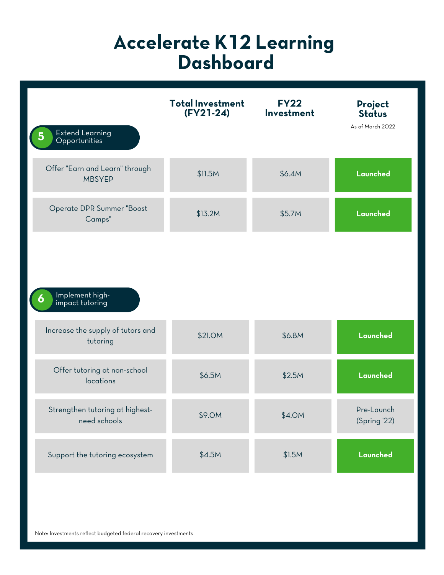| <b>Extend Learning</b><br>Opportunities         | <b>Total Investment</b><br>$(FY21-24)$ | <b>FY22</b><br>Investment | Project<br><b>Status</b><br>As of March 2022 |
|-------------------------------------------------|----------------------------------------|---------------------------|----------------------------------------------|
| Offer "Earn and Learn" through<br><b>MBSYEP</b> | \$11.5M                                | \$6.4M                    | Launched                                     |
| Operate DPR Summer "Boost<br>Camps"             | \$13.2M                                | \$5.7M                    | Launched                                     |
| Implement high-<br>impact tutoring              |                                        |                           |                                              |
| Increase the supply of tutors and<br>tutoring   | \$21.0M                                | \$6.8M                    | Launched                                     |
| Offer tutoring at non-school<br>locations       | \$6.5M                                 | \$2.5M                    | Launched                                     |
| Strengthen tutoring at highest-<br>need schools | \$9.0M                                 | \$4.0M                    | Pre-Launch<br>(Spring '22)                   |
| Support the tutoring ecosystem                  | \$4.5M                                 | \$1.5M                    | Launched                                     |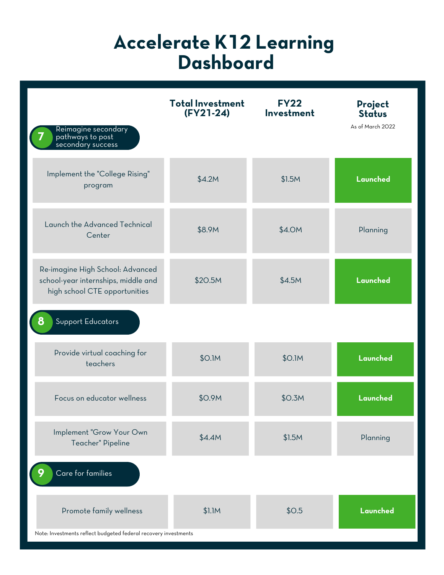| Reimagine secondary<br>pathways to post<br>secondary success                                             | <b>Total Investment</b><br>$(FY21-24)$ | <b>FY22</b><br>Investment | Project<br><b>Status</b><br>As of March 2022 |
|----------------------------------------------------------------------------------------------------------|----------------------------------------|---------------------------|----------------------------------------------|
| Implement the "College Rising"<br>program                                                                | \$4.2M                                 | \$1.5M                    | Launched                                     |
| Launch the Advanced Technical<br>Center                                                                  | \$8.9M                                 | \$4.0M                    | Planning                                     |
| Re-imagine High School: Advanced<br>school-year internships, middle and<br>high school CTE opportunities | \$20.5M                                | \$4.5M                    | Launched                                     |
| Support Educators<br>8                                                                                   |                                        |                           |                                              |
| Provide virtual coaching for<br>teachers                                                                 | \$0.1M                                 | \$0.1M                    | Launched                                     |
| Focus on educator wellness                                                                               | \$0.9M                                 | \$O.3M                    | Launched                                     |
| Implement "Grow Your Own<br>Teacher" Pipeline                                                            | \$4.4M                                 | \$1.5M                    | Planning                                     |
| Care for families                                                                                        |                                        |                           |                                              |
| Promote family wellness<br>Note: Investments reflect budgeted federal recovery investments               | \$1.1M                                 | \$0.5                     | Launched                                     |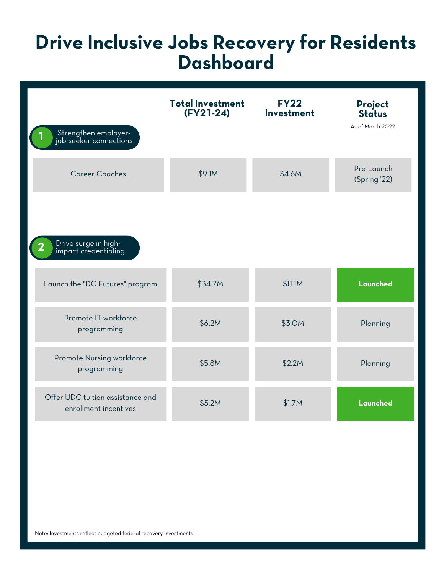### **Drive Inclusive Jobs Recovery for Residents Dashboard**

| Strengthen employer-<br>job-seeker connections            | <b>Total Investment</b><br>$(FY21-24)$ | <b>FY22</b><br>Investment | Project<br><b>Status</b><br>As of March 2022 |
|-----------------------------------------------------------|----------------------------------------|---------------------------|----------------------------------------------|
| <b>Career Coaches</b>                                     | \$9.1M                                 | \$4.6M                    | Pre-Launch<br>(Spring '22)                   |
| Drive surge in high-<br>impact credentialing              |                                        |                           |                                              |
| Launch the "DC Futures" program                           | \$34.7M                                | \$11.1M                   | Launched                                     |
| Promote IT workforce<br>programming                       | \$6.2M                                 | \$3.0M                    | Planning                                     |
| Promote Nursing workforce<br>programming                  | \$5.8M                                 | \$2.2M                    | Planning                                     |
| Offer UDC tuition assistance and<br>enrollment incentives | \$5.2M                                 | \$1.7M                    | Launched                                     |